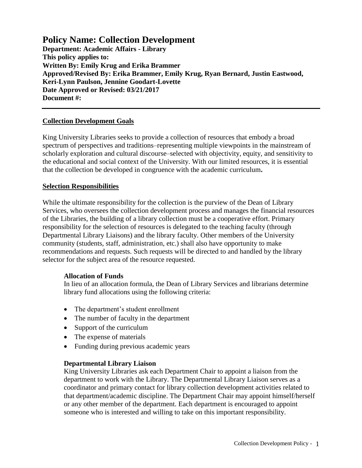**Policy Name: Collection Development Department: Academic Affairs - Library This policy applies to: Written By: Emily Krug and Erika Brammer Approved/Revised By: Erika Brammer, Emily Krug, Ryan Bernard, Justin Eastwood, Keri-Lynn Paulson, Jennine Goodart-Lovette Date Approved or Revised: 03/21/2017 Document #:** 

## **Collection Development Goals**

King University Libraries seeks to provide a collection of resources that embody a broad spectrum of perspectives and traditions–representing multiple viewpoints in the mainstream of scholarly exploration and cultural discourse–selected with objectivity, equity, and sensitivity to the educational and social context of the University. With our limited resources, it is essential that the collection be developed in congruence with the academic curriculum**.**

#### **Selection Responsibilities**

While the ultimate responsibility for the collection is the purview of the Dean of Library Services, who oversees the collection development process and manages the financial resources of the Libraries, the building of a library collection must be a cooperative effort. Primary responsibility for the selection of resources is delegated to the teaching faculty (through Departmental Library Liaisons) and the library faculty. Other members of the University community (students, staff, administration, etc.) shall also have opportunity to make recommendations and requests. Such requests will be directed to and handled by the library selector for the subject area of the resource requested.

#### **Allocation of Funds**

In lieu of an allocation formula, the Dean of Library Services and librarians determine library fund allocations using the following criteria:

- The department's student enrollment
- The number of faculty in the department
- Support of the curriculum
- The expense of materials
- Funding during previous academic years

#### **Departmental Library Liaison**

King University Libraries ask each Department Chair to appoint a liaison from the department to work with the Library. The Departmental Library Liaison serves as a coordinator and primary contact for library collection development activities related to that department/academic discipline. The Department Chair may appoint himself/herself or any other member of the department. Each department is encouraged to appoint someone who is interested and willing to take on this important responsibility.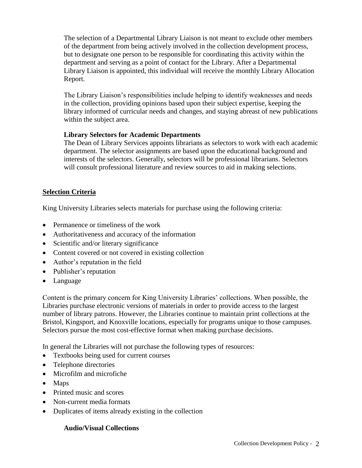The selection of a Departmental Library Liaison is not meant to exclude other members of the department from being actively involved in the collection development process, but to designate one person to be responsible for coordinating this activity within the department and serving as a point of contact for the Library. After a Departmental Library Liaison is appointed, this individual will receive the monthly Library Allocation Report.

The Library Liaison's responsibilities include helping to identify weaknesses and needs in the collection, providing opinions based upon their subject expertise, keeping the library informed of curricular needs and changes, and staying abreast of new publications within the subject area.

## **Library Selectors for Academic Departments**

The Dean of Library Services appoints librarians as selectors to work with each academic department. The selector assignments are based upon the educational background and interests of the selectors. Generally, selectors will be professional librarians. Selectors will consult professional literature and review sources to aid in making selections.

# **Selection Criteria**

King University Libraries selects materials for purchase using the following criteria:

- Permanence or timeliness of the work
- Authoritativeness and accuracy of the information
- Scientific and/or literary significance
- Content covered or not covered in existing collection
- Author's reputation in the field
- Publisher's reputation
- Language

Content is the primary concern for King University Libraries' collections. When possible, the Libraries purchase electronic versions of materials in order to provide access to the largest number of library patrons. However, the Libraries continue to maintain print collections at the Bristol, Kingsport, and Knoxville locations, especially for programs unique to those campuses. Selectors pursue the most cost-effective format when making purchase decisions.

In general the Libraries will not purchase the following types of resources:

- Textbooks being used for current courses
- Telephone directories
- Microfilm and microfiche
- Maps
- Printed music and scores
- Non-current media formats
- Duplicates of items already existing in the collection

#### **Audio/Visual Collections**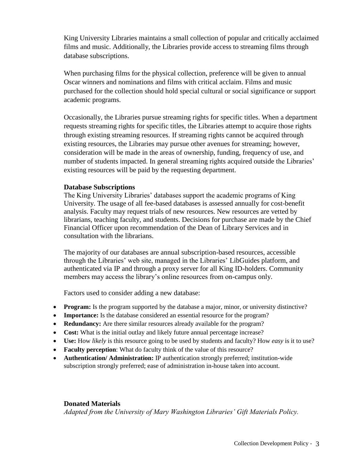King University Libraries maintains a small collection of popular and critically acclaimed films and music. Additionally, the Libraries provide access to streaming films through database subscriptions.

When purchasing films for the physical collection, preference will be given to annual Oscar winners and nominations and films with critical acclaim. Films and music purchased for the collection should hold special cultural or social significance or support academic programs.

Occasionally, the Libraries pursue streaming rights for specific titles. When a department requests streaming rights for specific titles, the Libraries attempt to acquire those rights through existing streaming resources. If streaming rights cannot be acquired through existing resources, the Libraries may pursue other avenues for streaming; however, consideration will be made in the areas of ownership, funding, frequency of use, and number of students impacted. In general streaming rights acquired outside the Libraries' existing resources will be paid by the requesting department.

#### **Database Subscriptions**

The King University Libraries' databases support the academic programs of King University. The usage of all fee-based databases is assessed annually for cost-benefit analysis. Faculty may request trials of new resources. New resources are vetted by librarians, teaching faculty, and students. Decisions for purchase are made by the Chief Financial Officer upon recommendation of the Dean of Library Services and in consultation with the librarians.

The majority of our databases are annual subscription-based resources, accessible through the Libraries' web site, managed in the Libraries' LibGuides platform, and authenticated via IP and through a proxy server for all King ID-holders. Community members may access the library's online resources from on-campus only.

Factors used to consider adding a new database:

- **Program:** Is the program supported by the database a major, minor, or university distinctive?
- **Importance:** Is the database considered an essential resource for the program?
- **Redundancy:** Are there similar resources already available for the program?
- Cost: What is the initial outlay and likely future annual percentage increase?
- **Use:** How *likely* is this resource going to be used by students and faculty? How *easy* is it to use?
- **Faculty perception**: What do faculty think of the value of this resource?
- **Authentication/ Administration:** IP authentication strongly preferred; institution-wide subscription strongly preferred; ease of administration in-house taken into account.

#### **Donated Materials**

*Adapted from the University of Mary Washington Libraries' Gift Materials Policy.*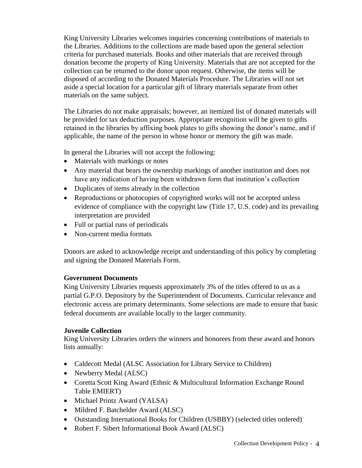King University Libraries welcomes inquiries concerning contributions of materials to the Libraries. Additions to the collections are made based upon the general selection criteria for purchased materials. Books and other materials that are received through donation become the property of King University. Materials that are not accepted for the collection can be returned to the donor upon request. Otherwise, the items will be disposed of according to the Donated Materials Procedure. The Libraries will not set aside a special location for a particular gift of library materials separate from other materials on the same subject.

The Libraries do not make appraisals; however, an itemized list of donated materials will be provided for tax deduction purposes. Appropriate recognition will be given to gifts retained in the libraries by affixing book plates to gifts showing the donor's name, and if applicable, the name of the person in whose honor or memory the gift was made.

In general the Libraries will not accept the following:

- Materials with markings or notes
- Any material that bears the ownership markings of another institution and does not have any indication of having been withdrawn form that institution's collection
- Duplicates of items already in the collection
- Reproductions or photocopies of copyrighted works will not be accepted unless evidence of compliance with the copyright law (Title 17, U.S. code) and its prevailing interpretation are provided
- Full or partial runs of periodicals
- Non-current media formats

Donors are asked to acknowledge receipt and understanding of this policy by completing and signing the Donated Materials Form.

# **Government Documents**

King University Libraries requests approximately 3% of the titles offered to us as a partial G.P.O. Depository by the Superintendent of Documents. Curricular relevance and electronic access are primary determinants. Some selections are made to ensure that basic federal documents are available locally to the larger community.

#### **Juvenile Collection**

King University Libraries orders the winners and honorees from these award and honors lists annually:

- Caldecott Medal (ALSC Association for Library Service to Children)
- Newberry Medal (ALSC)
- Coretta Scott King Award (Ethnic & Multicultural Information Exchange Round Table EMIERT)
- Michael Printz Award (YALSA)
- Mildred F. Batchelder Award (ALSC)
- Outstanding International Books for Children (USBBY) (selected titles ordered)
- Robert F. Sibert Informational Book Award (ALSC)